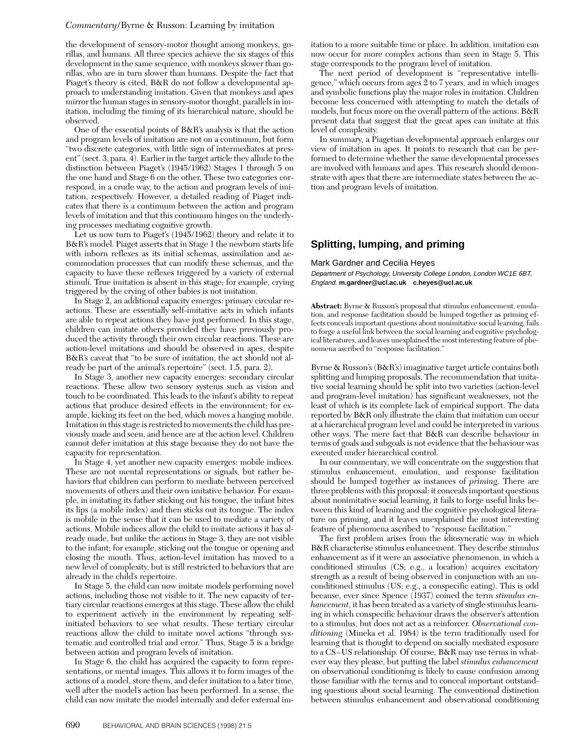## *Commentary/*Byrne & Russon: Learning by imitation

the development of sensory-motor thought among monkeys, gorillas, and humans. All three species achieve the six stages of this development in the same sequence, with monkeys slower than gorillas, who are in turn slower than humans. Despite the fact that Piaget's theory is cited, B&R do not follow a developmental approach to understanding imitation. Given that monkeys and apes mirror the human stages in sensory-motor thought, parallels in imitation, including the timing of its hierarchical nature, should be observed.

One of the essential points of B&R's analysis is that the action and program levels of imitation are not on a continuum, but form "two discrete categories, with little sign of intermediates at present" (sect. 3, para. 4). Earlier in the target article they allude to the distinction between Piaget's (1945/1962) Stages 1 through 5 on the one hand and Stage  $\overline{6}$  on the other. These two categories correspond, in a crude way, to the action and program levels of imitation, respectively. However, a detailed reading of Piaget indicates that there is a continuum between the action and program levels of imitation and that this continuum hinges on the underlying processes mediating cognitive growth.

Let us now turn to Piaget's (1945/1962) theory and relate it to B&R's model. Piaget asserts that in Stage 1 the newborn starts life with inborn reflexes as its initial schemas, assimilation and accommodation processes that can modify these schemas, and the capacity to have these reflexes triggered by a variety of external stimuli. True imitation is absent in this stage; for example, crying triggered by the crying of other babies is not imitation.

In Stage 2, an additional capacity emerges: primary circular reactions. These are essentially self-imitative acts in which infants are able to repeat actions they have just performed. In this stage, children can imitate others provided they have previously produced the activity through their own circular reactions. These are action-level imitations and should be observed in apes, despite B&R's caveat that "to be sure of imitation, the act should not already be part of the animal's repertoire" (sect. 1.5, para. 2).

In Stage 3, another new capacity emerges: secondary circular reactions. These allow two sensory systems such as vision and touch to be coordinated. This leads to the infant's ability to repeat actions that produce desired effects in the environment; for example, kicking its feet on the bed, which moves a hanging mobile. Imitation in this stage is restricted to movements the child has previously made and seen, and hence are at the action level. Children cannot defer imitation at this stage because they do not have the capacity for representation.

In Stage 4, yet another new capacity emerges: mobile indices. These are not mental representations or signals, but rather behaviors that children can perform to mediate between perceived movements of others and their own imitative behavior. For example, in imitating its father sticking out his tongue, the infant bites its lips (a mobile index) and then sticks out its tongue. The index is mobile in the sense that it can be used to mediate a variety of actions. Mobile indices allow the child to imitate actions it has already made, but unlike the actions in Stage 3, they are not visible to the infant; for example, sticking out the tongue or opening and closing the mouth. Thus, action-level imitation has moved to a new level of complexity, but is still restricted to behaviors that are already in the child's repertoire.

In Stage 5, the child can now imitate models performing novel actions, including those not visible to it. The new capacity of tertiary circular reactions emerges at this stage. These allow the child to experiment actively in the environment by repeating selfinitiated behaviors to see what results. These tertiary circular reactions allow the child to imitate novel actions "through systematic and controlled trial and error." Thus, Stage 5 is a bridge between action and program levels of imitation.

In Stage 6, the child has acquired the capacity to form representations, or mental images. This allows it to form images of the actions of a model, store them, and defer imitation to a later time, well after the model's action has been performed. In a sense, the child can now imitate the model internally and defer external imitation to a more suitable time or place. In addition, imitation can now occur for more complex actions than seen in Stage 5. This stage corresponds to the program level of imitation.

The next period of development is "representative intelligence," which occurs from ages 2 to 7 years, and in which images and symbolic functions play the major roles in imitation. Children become less concerned with attempting to match the details of models, but focus more on the overall pattern of the actions. B&R present data that suggest that the great apes can imitate at this level of complexity.

In summary, a Piagetian developmental approach enlarges our view of imitation in apes. It points to research that can be performed to determine whether the same developmental processes are involved with humans and apes. This research should demonstrate with apes that there are intermediate states between the action and program levels of imitation.

## **Splitting, lumping, and priming**

## Mark Gardner and Cecilia Heyes

Department of Psychology, University College London, London WC1E 6BT, England. **m.gardner@ucl.ac.uk c.heyes@ucl.ac.uk**

**Abstract:** Byrne & Russon's proposal that stimulus enhancement, emulation, and response facilitation should be lumped together as priming effects conceals important questions about nonimitative social learning, fails to forge a useful link between the social learning and cognitive psychological literatures, and leaves unexplained the most interesting feature of phenomena ascribed to "response facilitation."

Byrne & Russon's (B&R's) imaginative target article contains both splitting and lumping proposals. The recommendation that imitative social learning should be split into two varieties (action-level and program-level imitation) has significant weaknesses, not the least of which is its complete lack of empirical support. The data reported by B&R only illustrate the claim that imitation can occur at a hierarchical program level and could be interpreted in various other ways. The mere fact that B&R can describe behaviour in terms of goals and subgoals is not evidence that the behaviour was executed under hierarchical control.

In our commentary, we will concentrate on the suggestion that stimulus enhancement, emulation, and response facilitation should be lumped together as instances of *priming.* There are three problems with this proposal: it conceals important questions about nonimitative social learning, it fails to forge useful links between this kind of learning and the cognitive psychological literature on priming, and it leaves unexplained the most interesting feature of phenomena ascribed to "response facilitation."

The first problem arises from the idiosyncratic way in which B&R characterise stimulus enhancement. They describe stimulus enhancement as if it were an associative phenomenon, in which a conditioned stimulus (CS; e.g., a location) acquires excitatory strength as a result of being observed in conjunction with an unconditioned stimulus (US; e.g., a conspecific eating). This is odd because, ever since Spence (1937) coined the term *stimulus enhancement,* it has been treated as a variety of single stimulus learning in which conspecific behaviour draws the observer's attention to a stimulus, but does not act as a reinforcer. *Observational conditioning* (Mineka et al. 1984) is the term traditionally used for learning that is thought to depend on socially mediated exposure to a CS–US relationship. Of course, B&R may use terms in whatever way they please, but putting the label *stimulus enhancement* on observational conditioning is likely to cause confusion among those familiar with the terms and to conceal important outstanding questions about social learning. The conventional distinction between stimulus enhancement and observational conditioning